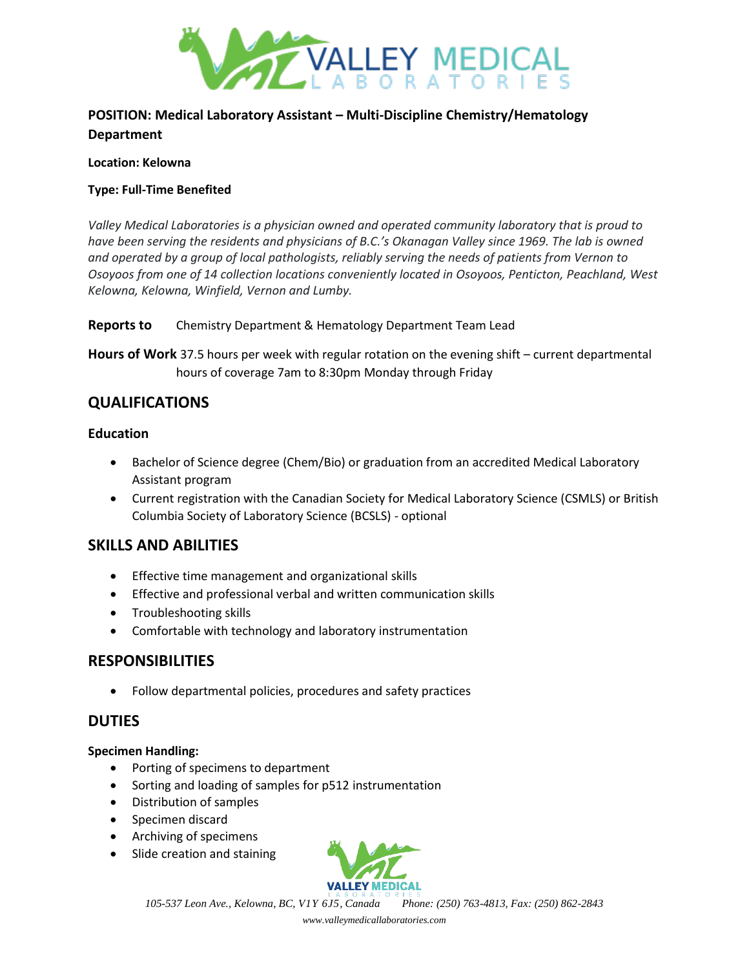

# **POSITION: Medical Laboratory Assistant – Multi-Discipline Chemistry/Hematology Department**

#### **Location: Kelowna**

### **Type: Full-Time Benefited**

*Valley Medical Laboratories is a physician owned and operated community laboratory that is proud to have been serving the residents and physicians of B.C.'s Okanagan Valley since 1969. The lab is owned and operated by a group of local pathologists, reliably serving the needs of patients from Vernon to Osoyoos from one of 14 collection locations conveniently located in Osoyoos, Penticton, Peachland, West Kelowna, Kelowna, Winfield, Vernon and Lumby.*

### **Reports to** Chemistry Department & Hematology Department Team Lead

**Hours of Work** 37.5 hours per week with regular rotation on the evening shift – current departmental hours of coverage 7am to 8:30pm Monday through Friday

# **QUALIFICATIONS**

## **Education**

- Bachelor of Science degree (Chem/Bio) or graduation from an accredited Medical Laboratory Assistant program
- Current registration with the Canadian Society for Medical Laboratory Science (CSMLS) or British Columbia Society of Laboratory Science (BCSLS) - optional

# **SKILLS AND ABILITIES**

- Effective time management and organizational skills
- Effective and professional verbal and written communication skills
- Troubleshooting skills
- Comfortable with technology and laboratory instrumentation

# **RESPONSIBILITIES**

• Follow departmental policies, procedures and safety practices

# **DUTIES**

## **Specimen Handling:**

- Porting of specimens to department
- Sorting and loading of samples for p512 instrumentation
- Distribution of samples
- Specimen discard
- Archiving of specimens
- Slide creation and staining



*105-537 Leon Ave., Kelowna, BC, V1Y 6J5, Canada Phone: (250) 763-4813, Fax: (250) 862-2843*